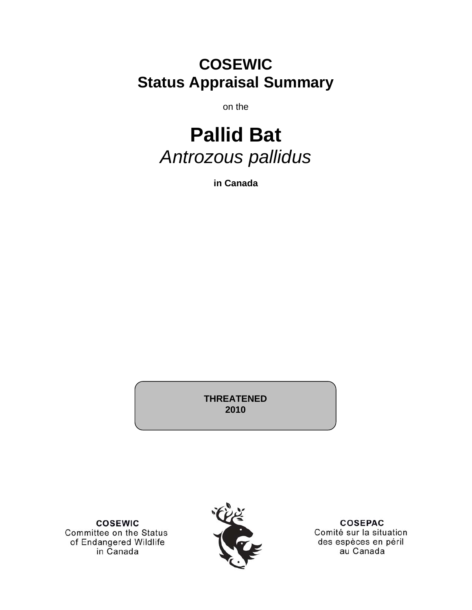## **COSEWIC Status Appraisal Summary**

on the

# **Pallid Bat**  *Antrozous pallidus*

**in Canada** 

**THREATENED 2010** 

**COSEWIC** Committee on the Status of Endangered Wildlife in Canada



**COSEPAC** Comité sur la situation des espèces en péril au Canada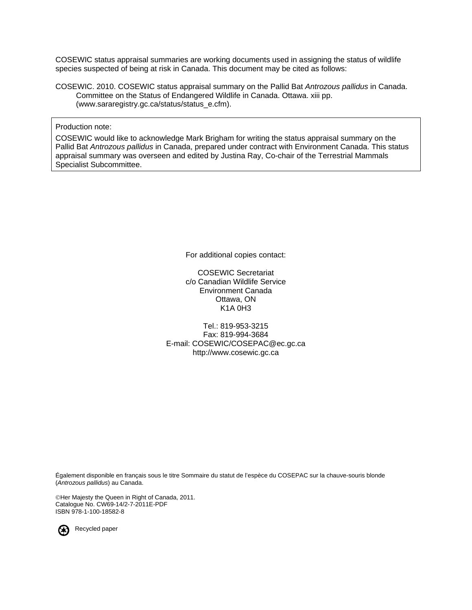COSEWIC status appraisal summaries are working documents used in assigning the status of wildlife species suspected of being at risk in Canada. This document may be cited as follows:

COSEWIC. 2010. COSEWIC status appraisal summary on the Pallid Bat *Antrozous pallidus* in Canada. Committee on the Status of Endangered Wildlife in Canada. Ottawa. xiii pp. (www.sararegistry.gc.ca/status/status\_e.cfm).

#### Production note:

COSEWIC would like to acknowledge Mark Brigham for writing the status appraisal summary on the Pallid Bat *Antrozous pallidus* in Canada, prepared under contract with Environment Canada. This status appraisal summary was overseen and edited by Justina Ray, Co-chair of the Terrestrial Mammals Specialist Subcommittee.

For additional copies contact:

COSEWIC Secretariat c/o Canadian Wildlife Service Environment Canada Ottawa, ON K1A 0H3

Tel.: 819-953-3215 Fax: 819-994-3684 E-mail: COSEWIC/COSEPAC@ec.gc.ca http://www.cosewic.gc.ca

Également disponible en français sous le titre Sommaire du statut de l'espèce du COSEPAC sur la chauve-souris blonde (*Antrozous pallidus*) au Canada.

©Her Majesty the Queen in Right of Canada, 2011. Catalogue No. CW69-14/2-7-2011E-PDF ISBN 978-1-100-18582-8



Recycled paper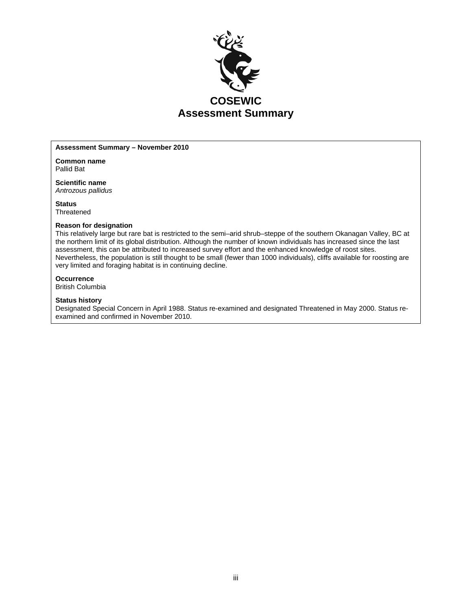

#### **Assessment Summary – November 2010**

**Common name**  Pallid Bat

**Scientific name**  *Antrozous pallidus*

**Status Threatened** 

#### **Reason for designation**

This relatively large but rare bat is restricted to the semi–arid shrub–steppe of the southern Okanagan Valley, BC at the northern limit of its global distribution. Although the number of known individuals has increased since the last assessment, this can be attributed to increased survey effort and the enhanced knowledge of roost sites. Nevertheless, the population is still thought to be small (fewer than 1000 individuals), cliffs available for roosting are very limited and foraging habitat is in continuing decline.

#### **Occurrence**

British Columbia

#### **Status history**

Designated Special Concern in April 1988. Status re-examined and designated Threatened in May 2000. Status reexamined and confirmed in November 2010.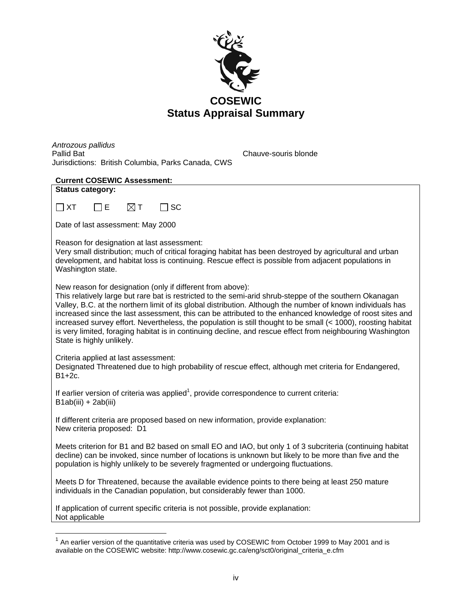

*Antrozous pallidus* Jurisdictions: British Columbia, Parks Canada, CWS

Chauve-souris blonde

| <b>Current COSEWIC Assessment:</b>                                                                                                                                                                                                                                                                                                                                                                                                                                                                                                                                                                                                                           |
|--------------------------------------------------------------------------------------------------------------------------------------------------------------------------------------------------------------------------------------------------------------------------------------------------------------------------------------------------------------------------------------------------------------------------------------------------------------------------------------------------------------------------------------------------------------------------------------------------------------------------------------------------------------|
| <b>Status category:</b>                                                                                                                                                                                                                                                                                                                                                                                                                                                                                                                                                                                                                                      |
| $\boxtimes$ т<br><b>SC</b><br>$\Box$ XT<br>E                                                                                                                                                                                                                                                                                                                                                                                                                                                                                                                                                                                                                 |
| Date of last assessment: May 2000                                                                                                                                                                                                                                                                                                                                                                                                                                                                                                                                                                                                                            |
| Reason for designation at last assessment:<br>Very small distribution; much of critical foraging habitat has been destroyed by agricultural and urban<br>development, and habitat loss is continuing. Rescue effect is possible from adjacent populations in<br>Washington state.                                                                                                                                                                                                                                                                                                                                                                            |
| New reason for designation (only if different from above):<br>This relatively large but rare bat is restricted to the semi-arid shrub-steppe of the southern Okanagan<br>Valley, B.C. at the northern limit of its global distribution. Although the number of known individuals has<br>increased since the last assessment, this can be attributed to the enhanced knowledge of roost sites and<br>increased survey effort. Nevertheless, the population is still thought to be small (< 1000), roosting habitat<br>is very limited, foraging habitat is in continuing decline, and rescue effect from neighbouring Washington<br>State is highly unlikely. |
| Criteria applied at last assessment:<br>Designated Threatened due to high probability of rescue effect, although met criteria for Endangered,<br>B1+2c.                                                                                                                                                                                                                                                                                                                                                                                                                                                                                                      |
| If earlier version of criteria was applied <sup>1</sup> , provide correspondence to current criteria:<br>B1ab(iii) + 2ab(iii)                                                                                                                                                                                                                                                                                                                                                                                                                                                                                                                                |
| If different criteria are proposed based on new information, provide explanation:<br>New criteria proposed: D1                                                                                                                                                                                                                                                                                                                                                                                                                                                                                                                                               |
| Meets criterion for B1 and B2 based on small EO and IAO, but only 1 of 3 subcriteria (continuing habitat<br>decline) can be invoked, since number of locations is unknown but likely to be more than five and the<br>population is highly unlikely to be severely fragmented or undergoing fluctuations.                                                                                                                                                                                                                                                                                                                                                     |
| Meets D for Threatened, because the available evidence points to there being at least 250 mature<br>individuals in the Canadian population, but considerably fewer than 1000.                                                                                                                                                                                                                                                                                                                                                                                                                                                                                |
| If application of current specific criteria is not possible, provide explanation:<br>Not applicable                                                                                                                                                                                                                                                                                                                                                                                                                                                                                                                                                          |
|                                                                                                                                                                                                                                                                                                                                                                                                                                                                                                                                                                                                                                                              |

 $1$  An earlier version of the quantitative criteria was used by COSEWIC from October 1999 to May 2001 and is available on the COSEWIC website: http://www.cosewic.gc.ca/eng/sct0/original\_criteria\_e.cfm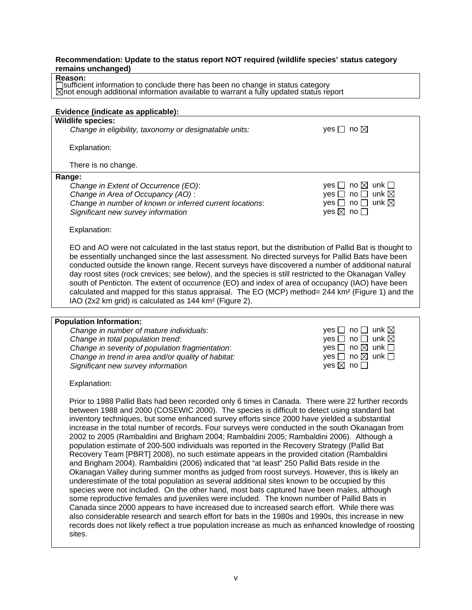#### **Recommendation: Update to the status report NOT required (wildlife species' status category remains unchanged)**

#### **Reason:**

sufficient information to conclude there has been no change in status category not enough additional information available to warrant a fully updated status report

| Evidence (indicate as applicable):                                                                                                                                                                                                                                                                                                                                                                                                                                                                                                                                                                                                                                                                                                                                                                                                                                                                                                                                                                                                                                                                                                                                                                                                                                                                                                                                                                                                                                                                                |                                                                                                                                                                                                  |
|-------------------------------------------------------------------------------------------------------------------------------------------------------------------------------------------------------------------------------------------------------------------------------------------------------------------------------------------------------------------------------------------------------------------------------------------------------------------------------------------------------------------------------------------------------------------------------------------------------------------------------------------------------------------------------------------------------------------------------------------------------------------------------------------------------------------------------------------------------------------------------------------------------------------------------------------------------------------------------------------------------------------------------------------------------------------------------------------------------------------------------------------------------------------------------------------------------------------------------------------------------------------------------------------------------------------------------------------------------------------------------------------------------------------------------------------------------------------------------------------------------------------|--------------------------------------------------------------------------------------------------------------------------------------------------------------------------------------------------|
| <b>Wildlife species:</b>                                                                                                                                                                                                                                                                                                                                                                                                                                                                                                                                                                                                                                                                                                                                                                                                                                                                                                                                                                                                                                                                                                                                                                                                                                                                                                                                                                                                                                                                                          |                                                                                                                                                                                                  |
| Change in eligibility, taxonomy or designatable units:                                                                                                                                                                                                                                                                                                                                                                                                                                                                                                                                                                                                                                                                                                                                                                                                                                                                                                                                                                                                                                                                                                                                                                                                                                                                                                                                                                                                                                                            | yes $\Box$ no $\boxtimes$                                                                                                                                                                        |
| Explanation:                                                                                                                                                                                                                                                                                                                                                                                                                                                                                                                                                                                                                                                                                                                                                                                                                                                                                                                                                                                                                                                                                                                                                                                                                                                                                                                                                                                                                                                                                                      |                                                                                                                                                                                                  |
| There is no change.                                                                                                                                                                                                                                                                                                                                                                                                                                                                                                                                                                                                                                                                                                                                                                                                                                                                                                                                                                                                                                                                                                                                                                                                                                                                                                                                                                                                                                                                                               |                                                                                                                                                                                                  |
| Range:                                                                                                                                                                                                                                                                                                                                                                                                                                                                                                                                                                                                                                                                                                                                                                                                                                                                                                                                                                                                                                                                                                                                                                                                                                                                                                                                                                                                                                                                                                            |                                                                                                                                                                                                  |
| Change in Extent of Occurrence (EO):                                                                                                                                                                                                                                                                                                                                                                                                                                                                                                                                                                                                                                                                                                                                                                                                                                                                                                                                                                                                                                                                                                                                                                                                                                                                                                                                                                                                                                                                              | yes $\Box$ no $\boxtimes$ unk $\Box$                                                                                                                                                             |
| Change in Area of Occupancy (AO):                                                                                                                                                                                                                                                                                                                                                                                                                                                                                                                                                                                                                                                                                                                                                                                                                                                                                                                                                                                                                                                                                                                                                                                                                                                                                                                                                                                                                                                                                 | yes $\Box$ no $\Box$ unk $\boxtimes$                                                                                                                                                             |
| Change in number of known or inferred current locations:                                                                                                                                                                                                                                                                                                                                                                                                                                                                                                                                                                                                                                                                                                                                                                                                                                                                                                                                                                                                                                                                                                                                                                                                                                                                                                                                                                                                                                                          | yes $\Box$ no $\Box$ unk $\boxtimes$<br>yes $\boxtimes$ no $\square$                                                                                                                             |
| Significant new survey information                                                                                                                                                                                                                                                                                                                                                                                                                                                                                                                                                                                                                                                                                                                                                                                                                                                                                                                                                                                                                                                                                                                                                                                                                                                                                                                                                                                                                                                                                |                                                                                                                                                                                                  |
| Explanation:                                                                                                                                                                                                                                                                                                                                                                                                                                                                                                                                                                                                                                                                                                                                                                                                                                                                                                                                                                                                                                                                                                                                                                                                                                                                                                                                                                                                                                                                                                      |                                                                                                                                                                                                  |
| EO and AO were not calculated in the last status report, but the distribution of Pallid Bat is thought to<br>be essentially unchanged since the last assessment. No directed surveys for Pallid Bats have been<br>conducted outside the known range. Recent surveys have discovered a number of additional natural<br>day roost sites (rock crevices; see below), and the species is still restricted to the Okanagan Valley<br>south of Penticton. The extent of occurrence (EO) and index of area of occupancy (IAO) have been<br>calculated and mapped for this status appraisal. The EO (MCP) method= 244 km <sup>2</sup> (Figure 1) and the<br>IAO (2x2 km grid) is calculated as 144 km <sup>2</sup> (Figure 2).                                                                                                                                                                                                                                                                                                                                                                                                                                                                                                                                                                                                                                                                                                                                                                                            |                                                                                                                                                                                                  |
|                                                                                                                                                                                                                                                                                                                                                                                                                                                                                                                                                                                                                                                                                                                                                                                                                                                                                                                                                                                                                                                                                                                                                                                                                                                                                                                                                                                                                                                                                                                   |                                                                                                                                                                                                  |
| <b>Population Information:</b><br>Change in number of mature individuals:<br>Change in total population trend:<br>Change in severity of population fragmentation:<br>Change in trend in area and/or quality of habitat:<br>Significant new survey information                                                                                                                                                                                                                                                                                                                                                                                                                                                                                                                                                                                                                                                                                                                                                                                                                                                                                                                                                                                                                                                                                                                                                                                                                                                     | yes $\Box$ no $\Box$ unk $\boxtimes$<br>yes $\Box$ no $\Box$ unk $\boxtimes$<br>yes $\Box$ no $\boxtimes$ unk $\Box$<br>yes $\square$ no $\square$ unk $\square$<br>yes $\boxtimes$ no $\square$ |
| Explanation:                                                                                                                                                                                                                                                                                                                                                                                                                                                                                                                                                                                                                                                                                                                                                                                                                                                                                                                                                                                                                                                                                                                                                                                                                                                                                                                                                                                                                                                                                                      |                                                                                                                                                                                                  |
| Prior to 1988 Pallid Bats had been recorded only 6 times in Canada. There were 22 further records<br>between 1988 and 2000 (COSEWIC 2000). The species is difficult to detect using standard bat<br>inventory techniques, but some enhanced survey efforts since 2000 have yielded a substantial<br>increase in the total number of records. Four surveys were conducted in the south Okanagan from<br>2002 to 2005 (Rambaldini and Brigham 2004; Rambaldini 2005; Rambaldini 2006). Although a<br>population estimate of 200-500 individuals was reported in the Recovery Strategy (Pallid Bat<br>Recovery Team [PBRT] 2008), no such estimate appears in the provided citation (Rambaldini<br>and Brigham 2004). Rambaldini (2006) indicated that "at least" 250 Pallid Bats reside in the<br>Okanagan Valley during summer months as judged from roost surveys. However, this is likely an<br>underestimate of the total population as several additional sites known to be occupied by this<br>species were not included. On the other hand, most bats captured have been males, although<br>some reproductive females and juveniles were included. The known number of Pallid Bats in<br>Canada since 2000 appears to have increased due to increased search effort. While there was<br>also considerable research and search effort for bats in the 1980s and 1990s, this increase in new<br>records does not likely reflect a true population increase as much as enhanced knowledge of roosting<br>sites. |                                                                                                                                                                                                  |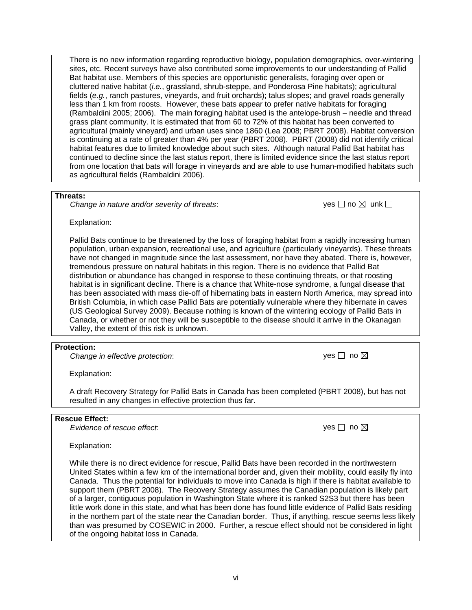There is no new information regarding reproductive biology, population demographics, over-wintering sites, etc. Recent surveys have also contributed some improvements to our understanding of Pallid Bat habitat use. Members of this species are opportunistic generalists, foraging over open or cluttered native habitat (*i.e.*, grassland, shrub-steppe, and Ponderosa Pine habitats); agricultural fields (*e.g.*, ranch pastures, vineyards, and fruit orchards); talus slopes; and gravel roads generally less than 1 km from roosts. However, these bats appear to prefer native habitats for foraging (Rambaldini 2005; 2006). The main foraging habitat used is the antelope-brush – needle and thread grass plant community. It is estimated that from 60 to 72% of this habitat has been converted to agricultural (mainly vineyard) and urban uses since 1860 (Lea 2008; PBRT 2008). Habitat conversion is continuing at a rate of greater than 4% per year (PBRT 2008). PBRT (2008) did not identify critical habitat features due to limited knowledge about such sites. Although natural Pallid Bat habitat has continued to decline since the last status report, there is limited evidence since the last status report from one location that bats will forage in vineyards and are able to use human-modified habitats such as agricultural fields (Rambaldini 2006).

#### **Threats:**

*Change in nature and/or severity of threats:*  $\Box$  yes  $\Box$  no  $\boxtimes$  unk  $\Box$ 

Explanation:

Pallid Bats continue to be threatened by the loss of foraging habitat from a rapidly increasing human population, urban expansion, recreational use, and agriculture (particularly vineyards). These threats have not changed in magnitude since the last assessment, nor have they abated. There is, however, tremendous pressure on natural habitats in this region. There is no evidence that Pallid Bat distribution or abundance has changed in response to these continuing threats, or that roosting habitat is in significant decline. There is a chance that White-nose syndrome, a fungal disease that has been associated with mass die-off of hibernating bats in eastern North America, may spread into British Columbia, in which case Pallid Bats are potentially vulnerable where they hibernate in caves (US Geological Survey 2009). Because nothing is known of the wintering ecology of Pallid Bats in Canada, or whether or not they will be susceptible to the disease should it arrive in the Okanagan Valley, the extent of this risk is unknown.

#### **Protection:**

*Change in effective protection:* 

| ves | no ⊠ |  |
|-----|------|--|
|-----|------|--|

Explanation:

A draft Recovery Strategy for Pallid Bats in Canada has been completed (PBRT 2008), but has not resulted in any changes in effective protection thus far.

#### **Rescue Effect:**

*Evidence of rescue effect*: yes no

Explanation:

While there is no direct evidence for rescue, Pallid Bats have been recorded in the northwestern United States within a few km of the international border and, given their mobility, could easily fly into Canada. Thus the potential for individuals to move into Canada is high if there is habitat available to support them (PBRT 2008). The Recovery Strategy assumes the Canadian population is likely part of a larger, contiguous population in Washington State where it is ranked S2S3 but there has been little work done in this state, and what has been done has found little evidence of Pallid Bats residing in the northern part of the state near the Canadian border. Thus, if anything, rescue seems less likely than was presumed by COSEWIC in 2000. Further, a rescue effect should not be considered in light of the ongoing habitat loss in Canada.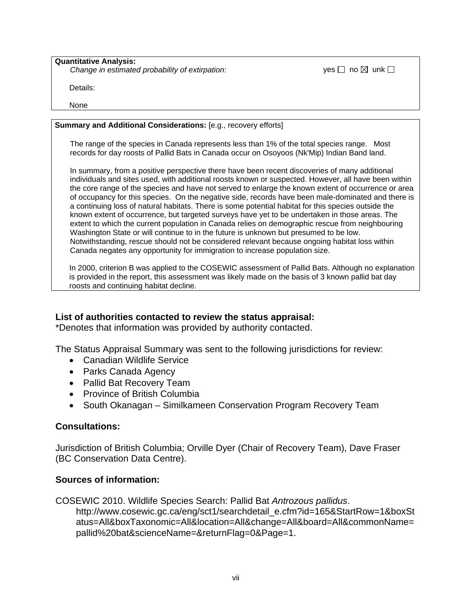**Quantitative Analysis:**  *Change in estimated probability of extirpation*:  $\Box$  yes  $\Box$  no  $\boxtimes$  unk  $\Box$ 

Details:

None

### **Summary and Additional Considerations:** [e.g., recovery efforts]

The range of the species in Canada represents less than 1% of the total species range. Most records for day roosts of Pallid Bats in Canada occur on Osoyoos (Nk'Mip) Indian Band land.

In summary, from a positive perspective there have been recent discoveries of many additional individuals and sites used, with additional roosts known or suspected. However, all have been within the core range of the species and have not served to enlarge the known extent of occurrence or area of occupancy for this species. On the negative side, records have been male-dominated and there is a continuing loss of natural habitats. There is some potential habitat for this species outside the known extent of occurrence, but targeted surveys have yet to be undertaken in those areas. The extent to which the current population in Canada relies on demographic rescue from neighbouring Washington State or will continue to in the future is unknown but presumed to be low. Notwithstanding, rescue should not be considered relevant because ongoing habitat loss within Canada negates any opportunity for immigration to increase population size.

In 2000, criterion B was applied to the COSEWIC assessment of Pallid Bats. Although no explanation is provided in the report, this assessment was likely made on the basis of 3 known pallid bat day roosts and continuing habitat decline.

## **List of authorities contacted to review the status appraisal:**

\*Denotes that information was provided by authority contacted.

The Status Appraisal Summary was sent to the following jurisdictions for review:

- Canadian Wildlife Service
- Parks Canada Agency
- Pallid Bat Recovery Team
- Province of British Columbia
- South Okanagan Similkameen Conservation Program Recovery Team

## **Consultations:**

Jurisdiction of British Columbia; Orville Dyer (Chair of Recovery Team), Dave Fraser (BC Conservation Data Centre).

## **Sources of information:**

COSEWIC 2010. Wildlife Species Search: Pallid Bat *Antrozous pallidus*. http://www.cosewic.gc.ca/eng/sct1/searchdetail\_e.cfm?id=165&StartRow=1&boxSt atus=All&boxTaxonomic=All&location=All&change=All&board=All&commonName= pallid%20bat&scienceName=&returnFlag=0&Page=1.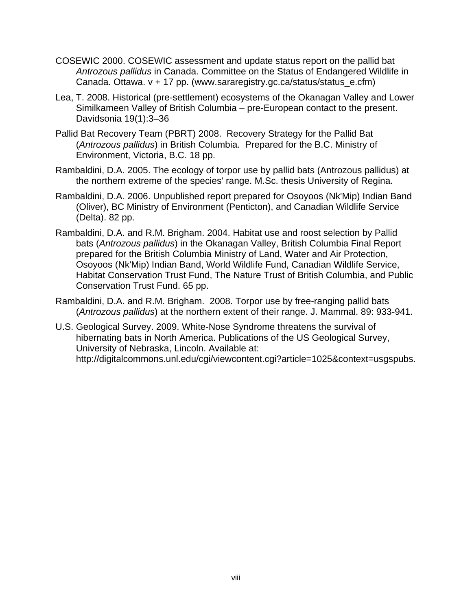- COSEWIC 2000. COSEWIC assessment and update status report on the pallid bat *Antrozous pallidus* in Canada. Committee on the Status of Endangered Wildlife in Canada. Ottawa. v + 17 pp. (www.sararegistry.gc.ca/status/status\_e.cfm)
- Lea, T. 2008. Historical (pre-settlement) ecosystems of the Okanagan Valley and Lower Similkameen Valley of British Columbia – pre-European contact to the present. Davidsonia 19(1):3–36
- Pallid Bat Recovery Team (PBRT) 2008. Recovery Strategy for the Pallid Bat (*Antrozous pallidus*) in British Columbia. Prepared for the B.C. Ministry of Environment, Victoria, B.C. 18 pp.
- Rambaldini, D.A. 2005. The ecology of torpor use by pallid bats (Antrozous pallidus) at the northern extreme of the species' range. M.Sc. thesis University of Regina.
- Rambaldini, D.A. 2006. Unpublished report prepared for Osoyoos (Nk'Mip) Indian Band (Oliver), BC Ministry of Environment (Penticton), and Canadian Wildlife Service (Delta). 82 pp.
- Rambaldini, D.A. and R.M. Brigham. 2004. Habitat use and roost selection by Pallid bats (*Antrozous pallidus*) in the Okanagan Valley, British Columbia Final Report prepared for the British Columbia Ministry of Land, Water and Air Protection, Osoyoos (Nk'Mip) Indian Band, World Wildlife Fund, Canadian Wildlife Service, Habitat Conservation Trust Fund, The Nature Trust of British Columbia, and Public Conservation Trust Fund. 65 pp.
- Rambaldini, D.A. and R.M. Brigham. 2008. Torpor use by free-ranging pallid bats (*Antrozous pallidus*) at the northern extent of their range. J. Mammal. 89: 933-941.
- U.S. Geological Survey. 2009. White-Nose Syndrome threatens the survival of hibernating bats in North America. Publications of the US Geological Survey, University of Nebraska, Lincoln. Available at: http://digitalcommons.unl.edu/cgi/viewcontent.cgi?article=1025&context=usgspubs.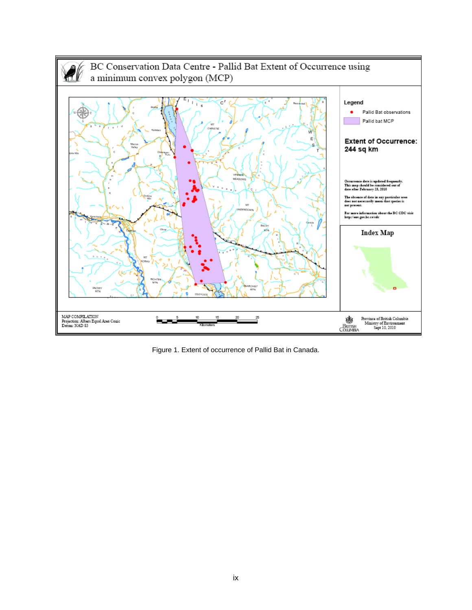

Figure 1. Extent of occurrence of Pallid Bat in Canada.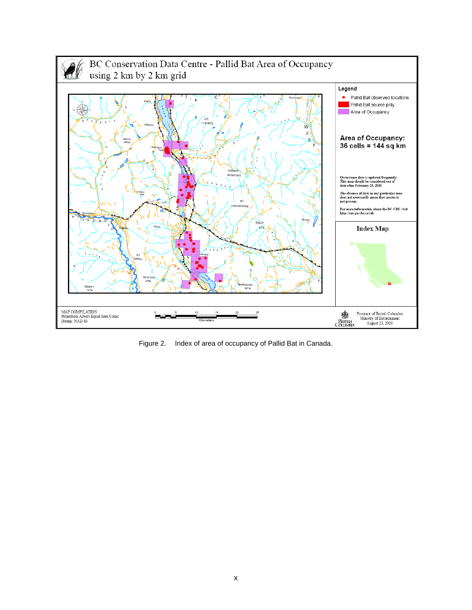

Figure 2. Index of area of occupancy of Pallid Bat in Canada.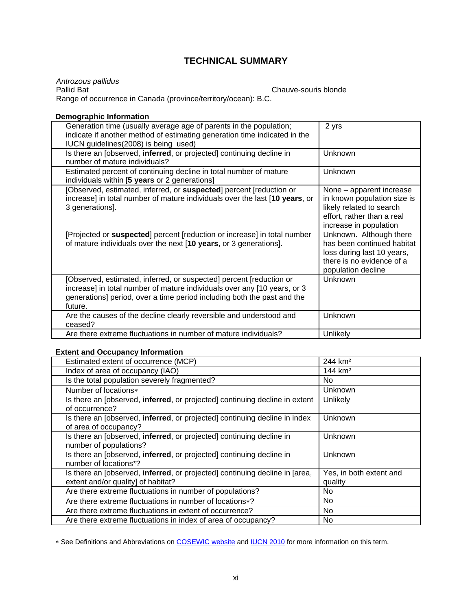## **TECHNICAL SUMMARY**

*Antrozous pallidus*  Range of occurrence in Canada (province/territory/ocean): B.C.

Chauve-souris blonde

#### **Demographic Information**

| Generation time (usually average age of parents in the population;<br>indicate if another method of estimating generation time indicated in the<br>IUCN guidelines (2008) is being used)                                              | 2 yrs                                                                                                                                       |
|---------------------------------------------------------------------------------------------------------------------------------------------------------------------------------------------------------------------------------------|---------------------------------------------------------------------------------------------------------------------------------------------|
| Is there an [observed, inferred, or projected] continuing decline in<br>number of mature individuals?                                                                                                                                 | Unknown                                                                                                                                     |
| Estimated percent of continuing decline in total number of mature<br>individuals within [5 years or 2 generations]                                                                                                                    | Unknown                                                                                                                                     |
| [Observed, estimated, inferred, or suspected] percent [reduction or<br>increase] in total number of mature individuals over the last [10 years, or<br>3 generations].                                                                 | None - apparent increase<br>in known population size is<br>likely related to search<br>effort, rather than a real<br>increase in population |
| [Projected or suspected] percent [reduction or increase] in total number<br>of mature individuals over the next [10 years, or 3 generations].                                                                                         | Unknown. Although there<br>has been continued habitat<br>loss during last 10 years,<br>there is no evidence of a<br>population decline      |
| [Observed, estimated, inferred, or suspected] percent [reduction or<br>increase] in total number of mature individuals over any [10 years, or 3<br>generations] period, over a time period including both the past and the<br>future. | Unknown                                                                                                                                     |
| Are the causes of the decline clearly reversible and understood and<br>ceased?                                                                                                                                                        | Unknown                                                                                                                                     |
| Are there extreme fluctuations in number of mature individuals?                                                                                                                                                                       | Unlikely                                                                                                                                    |

#### **Extent and Occupancy Information**

 $\overline{a}$ 

| Estimated extent of occurrence (MCP)                                                                                      | 244 km <sup>2</sup>                |
|---------------------------------------------------------------------------------------------------------------------------|------------------------------------|
| Index of area of occupancy (IAO)                                                                                          | 144 $km2$                          |
| Is the total population severely fragmented?                                                                              | No.                                |
| Number of locations*                                                                                                      | Unknown                            |
| Is there an [observed, <b>inferred</b> , or projected] continuing decline in extent<br>of occurrence?                     | Unlikely                           |
| Is there an [observed, <b>inferred</b> , or projected] continuing decline in index<br>of area of occupancy?               | Unknown                            |
| Is there an [observed, <b>inferred</b> , or projected] continuing decline in<br>number of populations?                    | Unknown                            |
| Is there an [observed, <b>inferred</b> , or projected] continuing decline in<br>number of locations*?                     | Unknown                            |
| Is there an [observed, <b>inferred</b> , or projected] continuing decline in [area,<br>extent and/or quality] of habitat? | Yes, in both extent and<br>quality |
| Are there extreme fluctuations in number of populations?                                                                  | No.                                |
| Are there extreme fluctuations in number of locations*?                                                                   | No                                 |
| Are there extreme fluctuations in extent of occurrence?                                                                   | No.                                |
| Are there extreme fluctuations in index of area of occupancy?                                                             | No                                 |

∗ See Definitions and Abbreviations on COSEWIC website and IUCN 2010 for more information on this term.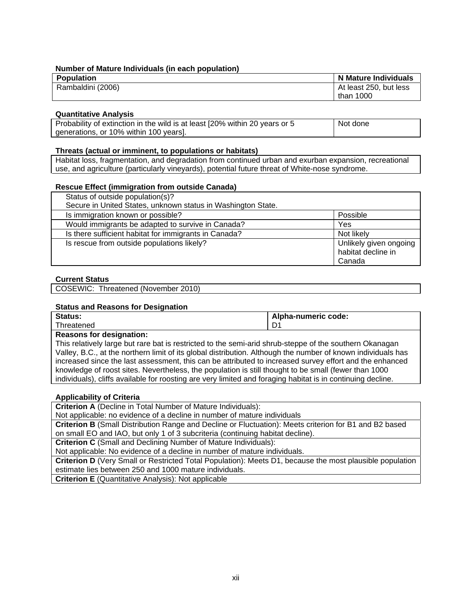#### **Number of Mature Individuals (in each population)**

| <b>Population</b> | N Mature Individuals   |
|-------------------|------------------------|
| Rambaldini (2006) | At least 250, but less |
|                   | than 1000              |

#### **Quantitative Analysis**

| Probability of extinction in the wild is at least [20% within 20 years or 5 | Not done |
|-----------------------------------------------------------------------------|----------|
| generations, or 10% within 100 years].                                      |          |

#### **Threats (actual or imminent, to populations or habitats)**

Habitat loss, fragmentation, and degradation from continued urban and exurban expansion, recreational use, and agriculture (particularly vineyards), potential future threat of White-nose syndrome.

#### **Rescue Effect (immigration from outside Canada)**

| Status of outside population(s)?                             |                                              |
|--------------------------------------------------------------|----------------------------------------------|
| Secure in United States, unknown status in Washington State. |                                              |
| Is immigration known or possible?                            | Possible                                     |
| Would immigrants be adapted to survive in Canada?            | Yes                                          |
| Is there sufficient habitat for immigrants in Canada?        | Not likely                                   |
| Is rescue from outside populations likely?                   | Unlikely given ongoing<br>habitat decline in |
|                                                              | Canada                                       |

#### **Current Status**

COSEWIC: Threatened (November 2010)

#### **Status and Reasons for Designation**

| Status:   | Alpha-numeric code: |
|-----------|---------------------|
| hreatened | -<br>◡              |
|           |                     |

#### **Reasons for designation:**

This relatively large but rare bat is restricted to the semi-arid shrub-steppe of the southern Okanagan Valley, B.C., at the northern limit of its global distribution. Although the number of known individuals has increased since the last assessment, this can be attributed to increased survey effort and the enhanced knowledge of roost sites. Nevertheless, the population is still thought to be small (fewer than 1000 individuals), cliffs available for roosting are very limited and foraging habitat is in continuing decline.

#### **Applicability of Criteria**

**Criterion A** (Decline in Total Number of Mature Individuals):

Not applicable: no evidence of a decline in number of mature individuals

**Criterion B** (Small Distribution Range and Decline or Fluctuation): Meets criterion for B1 and B2 based on small EO and IAO, but only 1 of 3 subcriteria (continuing habitat decline).

**Criterion C** (Small and Declining Number of Mature Individuals):

Not applicable: No evidence of a decline in number of mature individuals.

**Criterion D** (Very Small or Restricted Total Population): Meets D1, because the most plausible population estimate lies between 250 and 1000 mature individuals.

**Criterion E** (Quantitative Analysis): Not applicable